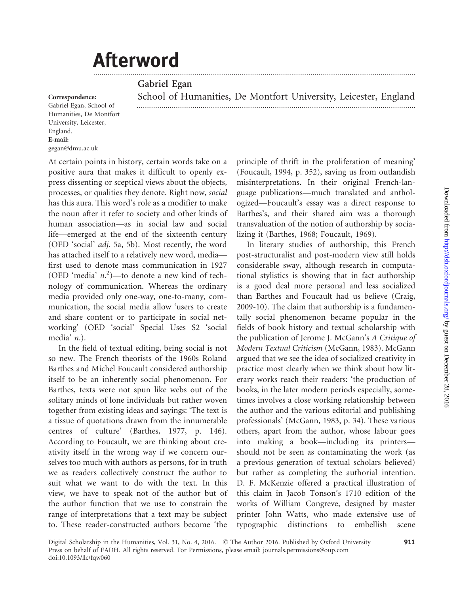## **Afterword**

Gabriel Egan

School of Humanities, De Montfort University, Leicester, England

Correspondence: Gabriel Egan, School of Humanities, De Montfort University, Leicester, England. E-mail: gegan@dmu.ac.uk

At certain points in history, certain words take on a positive aura that makes it difficult to openly express dissenting or sceptical views about the objects, processes, or qualities they denote. Right now, social has this aura. This word's role as a modifier to make the noun after it refer to society and other kinds of human association—as in social law and social life—emerged at the end of the sixteenth century (OED 'social' adj. 5a, 5b). Most recently, the word has attached itself to a relatively new word, media first used to denote mass communication in 1927 (OED 'media' n. 2 )—to denote a new kind of technology of communication. Whereas the ordinary media provided only one-way, one-to-many, communication, the social media allow 'users to create and share content or to participate in social networking' (OED 'social' Special Uses S2 'social media' n.).

In the field of textual editing, being social is not so new. The French theorists of the 1960s Roland Barthes and Michel Foucault considered authorship itself to be an inherently social phenomenon. For Barthes, texts were not spun like webs out of the solitary minds of lone individuals but rather woven together from existing ideas and sayings: 'The text is a tissue of quotations drawn from the innumerable centres of culture' [\(Barthes, 1977, p. 146](#page-7-0)). According to Foucault, we are thinking about creativity itself in the wrong way if we concern ourselves too much with authors as persons, for in truth we as readers collectively construct the author to suit what we want to do with the text. In this view, we have to speak not of the author but of the author function that we use to constrain the range of interpretations that a text may be subject to. These reader-constructed authors become 'the

principle of thrift in the proliferation of meaning' ([Foucault, 1994](#page-7-0), p. 352), saving us from outlandish misinterpretations. In their original French-language publications—much translated and anthologized—Foucault's essay was a direct response to Barthes's, and their shared aim was a thorough transvaluation of the notion of authorship by socializing it ([Barthes, 1968; Foucault, 1969](#page-7-0)).

In literary studies of authorship, this French post-structuralist and post-modern view still holds considerable sway, although research in computational stylistics is showing that in fact authorship is a good deal more personal and less socialized than Barthes and Foucault had us believe [\(Craig,](#page-7-0) [2009-10](#page-7-0)). The claim that authorship is a fundamentally social phenomenon became popular in the fields of book history and textual scholarship with the publication of Jerome J. McGann's A Critique of Modern Textual Criticism ([McGann, 1983\)](#page-7-0). McGann argued that we see the idea of socialized creativity in practice most clearly when we think about how literary works reach their readers: 'the production of books, in the later modern periods especially, sometimes involves a close working relationship between the author and the various editorial and publishing professionals' ([McGann, 1983](#page-7-0), p. 34). These various others, apart from the author, whose labour goes into making a book—including its printers should not be seen as contaminating the work (as a previous generation of textual scholars believed) but rather as completing the authorial intention. D. F. McKenzie offered a practical illustration of this claim in Jacob Tonson's 1710 edition of the works of William Congreve, designed by master printer John Watts, who made extensive use of typographic distinctions to embellish scene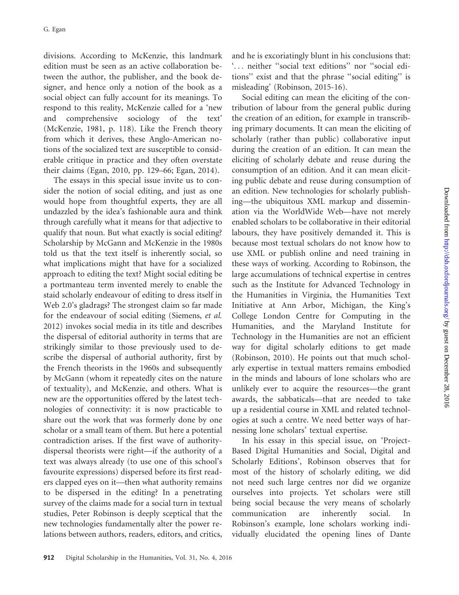divisions. According to McKenzie, this landmark edition must be seen as an active collaboration between the author, the publisher, and the book designer, and hence only a notion of the book as a social object can fully account for its meanings. To respond to this reality, McKenzie called for a 'new and comprehensive sociology of the text' ([McKenzie, 1981,](#page-7-0) p. 118). Like the French theory from which it derives, these Anglo-American notions of the socialized text are susceptible to considerable critique in practice and they often overstate their claims ([Egan, 2010](#page-7-0), pp. 129–66; [Egan, 2014\)](#page-7-0).

The essays in this special issue invite us to consider the notion of social editing, and just as one would hope from thoughtful experts, they are all undazzled by the idea's fashionable aura and think through carefully what it means for that adjective to qualify that noun. But what exactly is social editing? Scholarship by McGann and McKenzie in the 1980s told us that the text itself is inherently social, so what implications might that have for a socialized approach to editing the text? Might social editing be a portmanteau term invented merely to enable the staid scholarly endeavour of editing to dress itself in Web 2.0's gladrags? The strongest claim so far made for the endeavour of social editing ([Siemens,](#page-8-0) et al. [2012](#page-8-0)) invokes social media in its title and describes the dispersal of editorial authority in terms that are strikingly similar to those previously used to describe the dispersal of authorial authority, first by the French theorists in the 1960s and subsequently by McGann (whom it repeatedly cites on the nature of textuality), and McKenzie, and others. What is new are the opportunities offered by the latest technologies of connectivity: it is now practicable to share out the work that was formerly done by one scholar or a small team of them. But here a potential contradiction arises. If the first wave of authoritydispersal theorists were right—if the authority of a text was always already (to use one of this school's favourite expressions) dispersed before its first readers clapped eyes on it—then what authority remains to be dispersed in the editing? In a penetrating survey of the claims made for a social turn in textual studies, Peter Robinson is deeply sceptical that the new technologies fundamentally alter the power relations between authors, readers, editors, and critics,

912 Digital Scholarship in the Humanities, Vol. 31, No. 4, 2016

and he is excoriatingly blunt in his conclusions that: '... neither ''social text editions'' nor ''social editions'' exist and that the phrase ''social editing'' is misleading' [\(Robinson, 2015-16\)](#page-8-0).

Social editing can mean the eliciting of the contribution of labour from the general public during the creation of an edition, for example in transcribing primary documents. It can mean the eliciting of scholarly (rather than public) collaborative input during the creation of an edition. It can mean the eliciting of scholarly debate and reuse during the consumption of an edition. And it can mean eliciting public debate and reuse during consumption of an edition. New technologies for scholarly publishing—the ubiquitous XML markup and dissemination via the WorldWide Web—have not merely enabled scholars to be collaborative in their editorial labours, they have positively demanded it. This is because most textual scholars do not know how to use XML or publish online and need training in these ways of working. According to Robinson, the large accumulations of technical expertise in centres such as the Institute for Advanced Technology in the Humanities in Virginia, the Humanities Text Initiative at Ann Arbor, Michigan, the King's College London Centre for Computing in the Humanities, and the Maryland Institute for Technology in the Humanities are not an efficient way for digital scholarly editions to get made ([Robinson, 2010\)](#page-7-0). He points out that much scholarly expertise in textual matters remains embodied in the minds and labours of lone scholars who are unlikely ever to acquire the resources—the grant awards, the sabbaticals—that are needed to take up a residential course in XML and related technologies at such a centre. We need better ways of harnessing lone scholars' textual expertise.

In his essay in this special issue, on 'Project-Based Digital Humanities and Social, Digital and Scholarly Editions', Robinson observes that for most of the history of scholarly editing, we did not need such large centres nor did we organize ourselves into projects. Yet scholars were still being social because the very means of scholarly communication are inherently social. In Robinson's example, lone scholars working individually elucidated the opening lines of Dante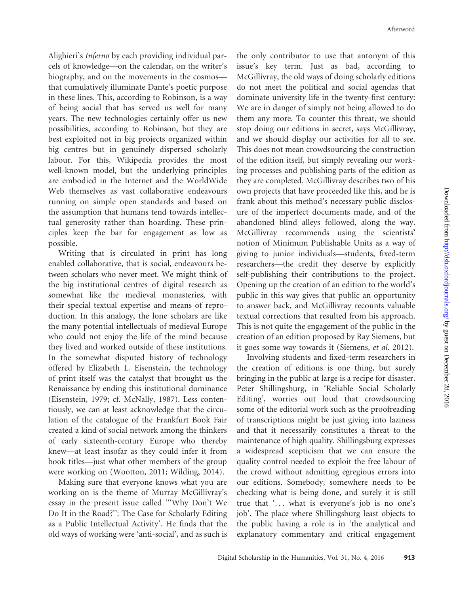Alighieri's Inferno by each providing individual parcels of knowledge—on the calendar, on the writer's biography, and on the movements in the cosmos that cumulatively illuminate Dante's poetic purpose in these lines. This, according to Robinson, is a way of being social that has served us well for many years. The new technologies certainly offer us new possibilities, according to Robinson, but they are best exploited not in big projects organized within big centres but in genuinely dispersed scholarly labour. For this, Wikipedia provides the most well-known model, but the underlying principles are embodied in the Internet and the WorldWide Web themselves as vast collaborative endeavours running on simple open standards and based on the assumption that humans tend towards intellectual generosity rather than hoarding. These principles keep the bar for engagement as low as possible.

Writing that is circulated in print has long enabled collaborative, that is social, endeavours between scholars who never meet. We might think of the big institutional centres of digital research as somewhat like the medieval monasteries, with their special textual expertise and means of reproduction. In this analogy, the lone scholars are like the many potential intellectuals of medieval Europe who could not enjoy the life of the mind because they lived and worked outside of these institutions. In the somewhat disputed history of technology offered by Elizabeth L. Eisenstein, the technology of print itself was the catalyst that brought us the Renaissance by ending this institutional dominance [\(Eisenstein, 1979;](#page-7-0) cf. [McNally, 1987](#page-7-0)). Less contentiously, we can at least acknowledge that the circulation of the catalogue of the Frankfurt Book Fair created a kind of social network among the thinkers of early sixteenth-century Europe who thereby knew—at least insofar as they could infer it from book titles—just what other members of the group were working on ([Wootton, 2011](#page-8-0); [Wilding, 2014](#page-8-0)).

Making sure that everyone knows what you are working on is the theme of Murray McGillivray's essay in the present issue called '''Why Don't We Do It in the Road?'': The Case for Scholarly Editing as a Public Intellectual Activity'. He finds that the old ways of working were 'anti-social', and as such is

the only contributor to use that antonym of this issue's key term. Just as bad, according to McGillivray, the old ways of doing scholarly editions do not meet the political and social agendas that dominate university life in the twenty-first century: We are in danger of simply not being allowed to do them any more. To counter this threat, we should stop doing our editions in secret, says McGillivray, and we should display our activities for all to see. This does not mean crowdsourcing the construction of the edition itself, but simply revealing our working processes and publishing parts of the edition as they are completed. McGillivray describes two of his own projects that have proceeded like this, and he is frank about this method's necessary public disclosure of the imperfect documents made, and of the abandoned blind alleys followed, along the way. McGillivray recommends using the scientists' notion of Minimum Publishable Units as a way of giving to junior individuals—students, fixed-term researchers—the credit they deserve by explicitly self-publishing their contributions to the project. Opening up the creation of an edition to the world's public in this way gives that public an opportunity to answer back, and McGillivray recounts valuable textual corrections that resulted from his approach. This is not quite the engagement of the public in the creation of an edition proposed by Ray Siemens, but it goes some way towards it ([Siemens,](#page-8-0) et al. 2012).

Involving students and fixed-term researchers in the creation of editions is one thing, but surely bringing in the public at large is a recipe for disaster. Peter Shillingsburg, in 'Reliable Social Scholarly Editing', worries out loud that crowdsourcing some of the editorial work such as the proofreading of transcriptions might be just giving into laziness and that it necessarily constitutes a threat to the maintenance of high quality. Shillingsburg expresses a widespread scepticism that we can ensure the quality control needed to exploit the free labour of the crowd without admitting egregious errors into our editions. Somebody, somewhere needs to be checking what is being done, and surely it is still true that '... what is everyone's job is no one's job'. The place where Shillingsburg least objects to the public having a role is in 'the analytical and explanatory commentary and critical engagement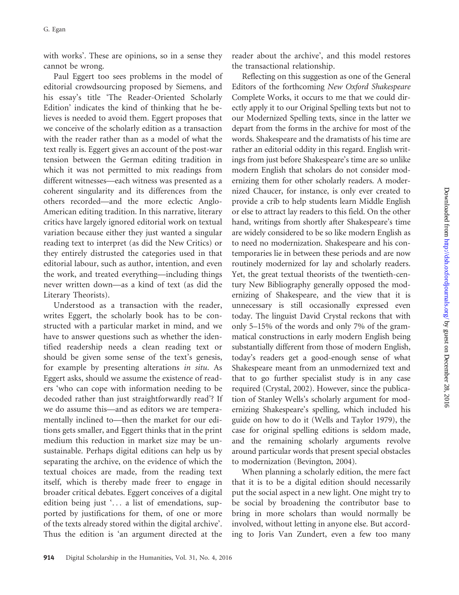with works'. These are opinions, so in a sense they cannot be wrong.

Paul Eggert too sees problems in the model of editorial crowdsourcing proposed by Siemens, and his essay's title 'The Reader-Oriented Scholarly Edition' indicates the kind of thinking that he believes is needed to avoid them. Eggert proposes that we conceive of the scholarly edition as a transaction with the reader rather than as a model of what the text really is. Eggert gives an account of the post-war tension between the German editing tradition in which it was not permitted to mix readings from different witnesses—each witness was presented as a coherent singularity and its differences from the others recorded—and the more eclectic Anglo-American editing tradition. In this narrative, literary critics have largely ignored editorial work on textual variation because either they just wanted a singular reading text to interpret (as did the New Critics) or they entirely distrusted the categories used in that editorial labour, such as author, intention, and even the work, and treated everything—including things never written down—as a kind of text (as did the Literary Theorists).

Understood as a transaction with the reader, writes Eggert, the scholarly book has to be constructed with a particular market in mind, and we have to answer questions such as whether the identified readership needs a clean reading text or should be given some sense of the text's genesis, for example by presenting alterations in situ. As Eggert asks, should we assume the existence of readers 'who can cope with information needing to be decoded rather than just straightforwardly read'? If we do assume this—and as editors we are temperamentally inclined to—then the market for our editions gets smaller, and Eggert thinks that in the print medium this reduction in market size may be unsustainable. Perhaps digital editions can help us by separating the archive, on the evidence of which the textual choices are made, from the reading text itself, which is thereby made freer to engage in broader critical debates. Eggert conceives of a digital edition being just '... a list of emendations, supported by justifications for them, of one or more of the texts already stored within the digital archive'. Thus the edition is 'an argument directed at the

reader about the archive', and this model restores the transactional relationship.

Reflecting on this suggestion as one of the General Editors of the forthcoming New Oxford Shakespeare Complete Works, it occurs to me that we could directly apply it to our Original Spelling texts but not to our Modernized Spelling texts, since in the latter we depart from the forms in the archive for most of the words. Shakespeare and the dramatists of his time are rather an editorial oddity in this regard. English writings from just before Shakespeare's time are so unlike modern English that scholars do not consider modernizing them for other scholarly readers. A modernized Chaucer, for instance, is only ever created to provide a crib to help students learn Middle English or else to attract lay readers to this field. On the other hand, writings from shortly after Shakespeare's time are widely considered to be so like modern English as to need no modernization. Shakespeare and his contemporaries lie in between these periods and are now routinely modernized for lay and scholarly readers. Yet, the great textual theorists of the twentieth-century New Bibliography generally opposed the modernizing of Shakespeare, and the view that it is unnecessary is still occasionally expressed even today. The linguist David Crystal reckons that with only 5–15% of the words and only 7% of the grammatical constructions in early modern English being substantially different from those of modern English, today's readers get a good-enough sense of what Shakespeare meant from an unmodernized text and that to go further specialist study is in any case required ([Crystal, 2002](#page-7-0)). However, since the publication of Stanley Wells's scholarly argument for modernizing Shakespeare's spelling, which included his guide on how to do it [\(Wells and Taylor 1979](#page-8-0)), the case for original spelling editions is seldom made, and the remaining scholarly arguments revolve around particular words that present special obstacles to modernization ([Bevington, 2004\)](#page-7-0).

When planning a scholarly edition, the mere fact that it is to be a digital edition should necessarily put the social aspect in a new light. One might try to be social by broadening the contributor base to bring in more scholars than would normally be involved, without letting in anyone else. But according to Joris Van Zundert, even a few too many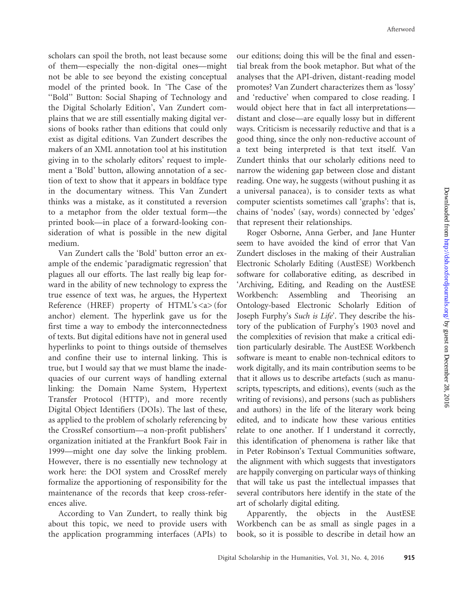scholars can spoil the broth, not least because some of them—especially the non-digital ones—might not be able to see beyond the existing conceptual model of the printed book. In 'The Case of the ''Bold'' Button: Social Shaping of Technology and the Digital Scholarly Edition', Van Zundert complains that we are still essentially making digital versions of books rather than editions that could only exist as digital editions. Van Zundert describes the makers of an XML annotation tool at his institution giving in to the scholarly editors' request to implement a 'Bold' button, allowing annotation of a section of text to show that it appears in boldface type in the documentary witness. This Van Zundert thinks was a mistake, as it constituted a reversion to a metaphor from the older textual form—the printed book—in place of a forward-looking consideration of what is possible in the new digital medium.

Van Zundert calls the 'Bold' button error an example of the endemic 'paradigmatic regression' that plagues all our efforts. The last really big leap forward in the ability of new technology to express the true essence of text was, he argues, the Hypertext Reference (HREF) property of HTML's <a> (for anchor) element. The hyperlink gave us for the first time a way to embody the interconnectedness of texts. But digital editions have not in general used hyperlinks to point to things outside of themselves and confine their use to internal linking. This is true, but I would say that we must blame the inadequacies of our current ways of handling external linking: the Domain Name System, Hypertext Transfer Protocol (HTTP), and more recently Digital Object Identifiers (DOIs). The last of these, as applied to the problem of scholarly referencing by the CrossRef consortium—a non-profit publishers' organization initiated at the Frankfurt Book Fair in 1999—might one day solve the linking problem. However, there is no essentially new technology at work here: the DOI system and CrossRef merely formalize the apportioning of responsibility for the maintenance of the records that keep cross-references alive.

According to Van Zundert, to really think big about this topic, we need to provide users with the application programming interfaces (APIs) to

our editions; doing this will be the final and essential break from the book metaphor. But what of the analyses that the API-driven, distant-reading model promotes? Van Zundert characterizes them as 'lossy' and 'reductive' when compared to close reading. I would object here that in fact all interpretations distant and close—are equally lossy but in different ways. Criticism is necessarily reductive and that is a good thing, since the only non-reductive account of a text being interpreted is that text itself. Van Zundert thinks that our scholarly editions need to narrow the widening gap between close and distant reading. One way, he suggests (without pushing it as a universal panacea), is to consider texts as what computer scientists sometimes call 'graphs': that is, chains of 'nodes' (say, words) connected by 'edges' that represent their relationships.

Roger Osborne, Anna Gerber, and Jane Hunter seem to have avoided the kind of error that Van Zundert discloses in the making of their Australian Electronic Scholarly Editing (AustESE) Workbench software for collaborative editing, as described in 'Archiving, Editing, and Reading on the AustESE Workbench: Assembling and Theorising an Ontology-based Electronic Scholarly Edition of Joseph Furphy's Such is Life'. They describe the history of the publication of Furphy's 1903 novel and the complexities of revision that make a critical edition particularly desirable. The AustESE Workbench software is meant to enable non-technical editors to work digitally, and its main contribution seems to be that it allows us to describe artefacts (such as manuscripts, typescripts, and editions), events (such as the writing of revisions), and persons (such as publishers and authors) in the life of the literary work being edited, and to indicate how these various entities relate to one another. If I understand it correctly, this identification of phenomena is rather like that in Peter Robinson's Textual Communities software, the alignment with which suggests that investigators are happily converging on particular ways of thinking that will take us past the intellectual impasses that several contributors here identify in the state of the art of scholarly digital editing.

Apparently, the objects in the AustESE Workbench can be as small as single pages in a book, so it is possible to describe in detail how an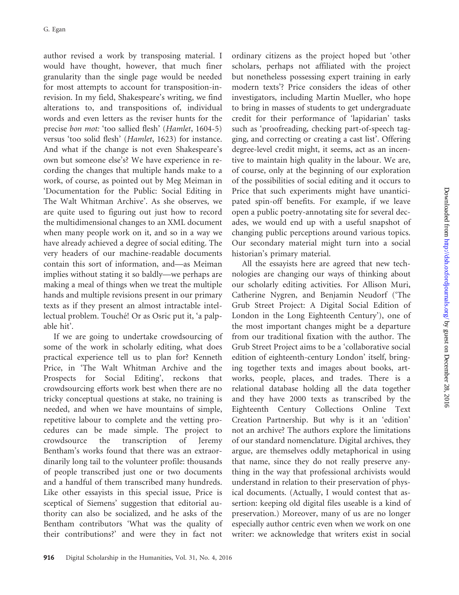author revised a work by transposing material. I would have thought, however, that much finer granularity than the single page would be needed for most attempts to account for transposition-inrevision. In my field, Shakespeare's writing, we find alterations to, and transpositions of, individual words and even letters as the reviser hunts for the precise bon mot: 'too sallied flesh' (Hamlet, 1604-5) versus 'too solid flesh' (Hamlet, 1623) for instance. And what if the change is not even Shakespeare's own but someone else's? We have experience in recording the changes that multiple hands make to a work, of course, as pointed out by Meg Meiman in 'Documentation for the Public: Social Editing in The Walt Whitman Archive'. As she observes, we are quite used to figuring out just how to record the multidimensional changes to an XML document when many people work on it, and so in a way we have already achieved a degree of social editing. The very headers of our machine-readable documents contain this sort of information, and—as Meiman implies without stating it so baldly—we perhaps are making a meal of things when we treat the multiple hands and multiple revisions present in our primary texts as if they present an almost intractable intellectual problem. Touché! Or as Osric put it, 'a palpable hit'.

If we are going to undertake crowdsourcing of some of the work in scholarly editing, what does practical experience tell us to plan for? Kenneth Price, in 'The Walt Whitman Archive and the Prospects for Social Editing', reckons that crowdsourcing efforts work best when there are no tricky conceptual questions at stake, no training is needed, and when we have mountains of simple, repetitive labour to complete and the vetting procedures can be made simple. The project to crowdsource the transcription of Jeremy Bentham's works found that there was an extraordinarily long tail to the volunteer profile: thousands of people transcribed just one or two documents and a handful of them transcribed many hundreds. Like other essayists in this special issue, Price is sceptical of Siemens' suggestion that editorial authority can also be socialized, and he asks of the Bentham contributors 'What was the quality of their contributions?' and were they in fact not

ordinary citizens as the project hoped but 'other scholars, perhaps not affiliated with the project but nonetheless possessing expert training in early modern texts'? Price considers the ideas of other investigators, including Martin Mueller, who hope to bring in masses of students to get undergraduate credit for their performance of 'lapidarian' tasks such as 'proofreading, checking part-of-speech tagging, and correcting or creating a cast list'. Offering degree-level credit might, it seems, act as an incentive to maintain high quality in the labour. We are, of course, only at the beginning of our exploration of the possibilities of social editing and it occurs to Price that such experiments might have unanticipated spin-off benefits. For example, if we leave open a public poetry-annotating site for several decades, we would end up with a useful snapshot of changing public perceptions around various topics. Our secondary material might turn into a social historian's primary material.

All the essayists here are agreed that new technologies are changing our ways of thinking about our scholarly editing activities. For Allison Muri, Catherine Nygren, and Benjamin Neudorf ('The Grub Street Project: A Digital Social Edition of London in the Long Eighteenth Century'), one of the most important changes might be a departure from our traditional fixation with the author. The Grub Street Project aims to be a 'collaborative social edition of eighteenth-century London' itself, bringing together texts and images about books, artworks, people, places, and trades. There is a relational database holding all the data together and they have 2000 texts as transcribed by the Eighteenth Century Collections Online Text Creation Partnership. But why is it an 'edition' not an archive? The authors explore the limitations of our standard nomenclature. Digital archives, they argue, are themselves oddly metaphorical in using that name, since they do not really preserve anything in the way that professional archivists would understand in relation to their preservation of physical documents. (Actually, I would contest that assertion: keeping old digital files useable is a kind of preservation.) Moreover, many of us are no longer especially author centric even when we work on one writer: we acknowledge that writers exist in social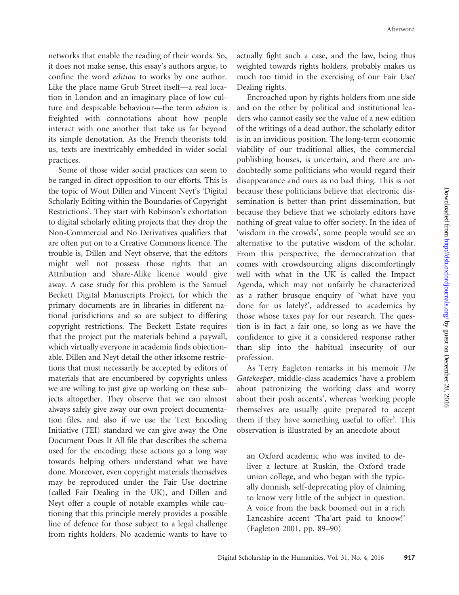networks that enable the reading of their words. So, it does not make sense, this essay's authors argue, to confine the word edition to works by one author. Like the place name Grub Street itself—a real location in London and an imaginary place of low culture and despicable behaviour—the term edition is freighted with connotations about how people interact with one another that take us far beyond its simple denotation. As the French theorists told us, texts are inextricably embedded in wider social practices.

Some of those wider social practices can seem to be ranged in direct opposition to our efforts. This is the topic of Wout Dillen and Vincent Neyt's 'Digital Scholarly Editing within the Boundaries of Copyright Restrictions'. They start with Robinson's exhortation to digital scholarly editing projects that they drop the Non-Commercial and No Derivatives qualifiers that are often put on to a Creative Commons licence. The trouble is, Dillen and Neyt observe, that the editors might well not possess those rights that an Attribution and Share-Alike licence would give away. A case study for this problem is the Samuel Beckett Digital Manuscripts Project, for which the primary documents are in libraries in different national jurisdictions and so are subject to differing copyright restrictions. The Beckett Estate requires that the project put the materials behind a paywall, which virtually everyone in academia finds objectionable. Dillen and Neyt detail the other irksome restrictions that must necessarily be accepted by editors of materials that are encumbered by copyrights unless we are willing to just give up working on these subjects altogether. They observe that we can almost always safely give away our own project documentation files, and also if we use the Text Encoding Initiative (TEI) standard we can give away the One Document Does It All file that describes the schema used for the encoding; these actions go a long way towards helping others understand what we have done. Moreover, even copyright materials themselves may be reproduced under the Fair Use doctrine (called Fair Dealing in the UK), and Dillen and Neyt offer a couple of notable examples while cautioning that this principle merely provides a possible line of defence for those subject to a legal challenge from rights holders. No academic wants to have to

actually fight such a case, and the law, being thus weighted towards rights holders, probably makes us much too timid in the exercising of our Fair Use/ Dealing rights.

Encroached upon by rights holders from one side and on the other by political and institutional leaders who cannot easily see the value of a new edition of the writings of a dead author, the scholarly editor is in an invidious position. The long-term economic viability of our traditional allies, the commercial publishing houses, is uncertain, and there are undoubtedly some politicians who would regard their disappearance and ours as no bad thing. This is not because these politicians believe that electronic dissemination is better than print dissemination, but because they believe that we scholarly editors have nothing of great value to offer society. In the idea of 'wisdom in the crowds', some people would see an alternative to the putative wisdom of the scholar. From this perspective, the democratization that comes with crowdsourcing aligns discomfortingly well with what in the UK is called the Impact Agenda, which may not unfairly be characterized as a rather brusque enquiry of 'what have you done for us lately?', addressed to academics by those whose taxes pay for our research. The question is in fact a fair one, so long as we have the confidence to give it a considered response rather than slip into the habitual insecurity of our profession.

As Terry Eagleton remarks in his memoir The Gatekeeper, middle-class academics 'have a problem about patronizing the working class and worry about their posh accents', whereas 'working people themselves are usually quite prepared to accept them if they have something useful to offer'. This observation is illustrated by an anecdote about

an Oxford academic who was invited to deliver a lecture at Ruskin, the Oxford trade union college, and who began with the typically donnish, self-deprecating ploy of claiming to know very little of the subject in question. A voice from the back boomed out in a rich Lancashire accent 'Tha'art paid to knoow!' (Eagleton 2001, pp. 89–90)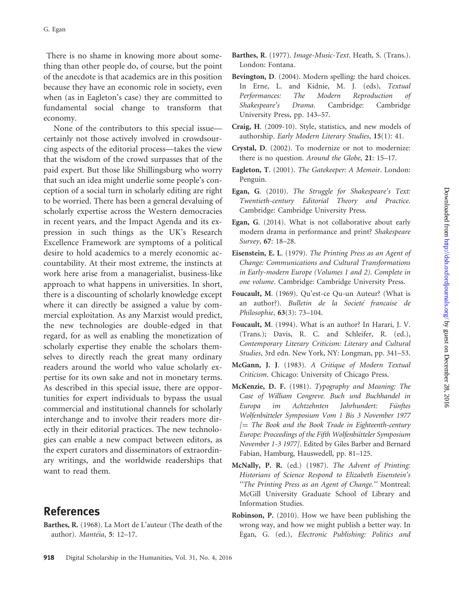<span id="page-7-0"></span>There is no shame in knowing more about something than other people do, of course, but the point of the anecdote is that academics are in this position because they have an economic role in society, even when (as in Eagleton's case) they are committed to fundamental social change to transform that economy.

None of the contributors to this special issue certainly not those actively involved in crowdsourcing aspects of the editorial process—takes the view that the wisdom of the crowd surpasses that of the paid expert. But those like Shillingsburg who worry that such an idea might underlie some people's conception of a social turn in scholarly editing are right to be worried. There has been a general devaluing of scholarly expertise across the Western democracies in recent years, and the Impact Agenda and its expression in such things as the UK's Research Excellence Framework are symptoms of a political desire to hold academics to a merely economic accountability. At their most extreme, the instincts at work here arise from a managerialist, business-like approach to what happens in universities. In short, there is a discounting of scholarly knowledge except where it can directly be assigned a value by commercial exploitation. As any Marxist would predict, the new technologies are double-edged in that regard, for as well as enabling the monetization of scholarly expertise they enable the scholars themselves to directly reach the great many ordinary readers around the world who value scholarly expertise for its own sake and not in monetary terms. As described in this special issue, there are opportunities for expert individuals to bypass the usual commercial and institutional channels for scholarly interchange and to involve their readers more directly in their editorial practices. The new technologies can enable a new compact between editors, as the expert curators and disseminators of extraordinary writings, and the worldwide readerships that want to read them.

## References

Barthes, R. (1968). La Mort de L'auteur (The death of the author). Mantéia, 5: 12-17.

- Barthes, R. (1977). Image-Music-Text. Heath, S. (Trans.). London: Fontana.
- Bevington, D. (2004). Modern spelling: the hard choices. In Erne, L. and Kidnie, M. J. (eds), Textual Performances: The Modern Reproduction of Shakespeare's Drama. Cambridge: Cambridge University Press, pp. 143–57.
- Craig, H. (2009-10). Style, statistics, and new models of authorship. Early Modern Literary Studies, 15(1): 41.
- Crystal, D. (2002). To modernize or not to modernize: there is no question. Around the Globe, 21: 15–17.
- Eagleton, T. (2001). The Gatekeeper: A Memoir. London: Penguin.
- Egan, G. (2010). The Struggle for Shakespeare's Text: Twentieth-century Editorial Theory and Practice. Cambridge: Cambridge University Press.
- Egan, G. (2014). What is not collaborative about early modern drama in performance and print? Shakespeare Survey, 67: 18–28.
- Eisenstein, E. L. (1979). The Printing Press as an Agent of Change: Communications and Cultural Transformations in Early-modern Europe (Volumes 1 and 2). Complete in one volume. Cambridge: Cambridge University Press.
- Foucault, M. (1969). Qu'est-ce Qu-un Auteur? (What is an author?). Bulletin de la Societé francaise de Philosophie, 63(3): 73–104.
- Foucault, M. (1994). What is an author? In Harari, J. V. (Trans.); Davis, R. C. and Schleifer, R. (ed.), Contemporary Literary Criticism: Literary and Cultural Studies, 3rd edn. New York, NY: Longman, pp. 341–53.
- McGann, J. J. (1983). A Critique of Modern Textual Criticism. Chicago: University of Chicago Press.
- McKenzie, D. F. (1981). Typography and Meaning: The Case of William Congreve. Buch und Buchhandel in Europa im Achtzehnten Jahrhundert: Fünftes Wolfenbütteler Symposium Vom 1 Bis 3 November 1977  $[=$  The Book and the Book Trade in Eighteenth-century Europe: Proceedings of the Fifth Wolfenbütteler Symposium November 1-3 1977]. Edited by Giles Barber and Bernard Fabian, Hamburg, Hauswedell, pp. 81–125.
- McNally, P. R. (ed.) (1987). The Advent of Printing: Historians of Science Respond to Elizabeth Eisenstein's ''The Printing Press as an Agent of Change.'' Montreal: McGill University Graduate School of Library and Information Studies.
- Robinson, P. (2010). How we have been publishing the wrong way, and how we might publish a better way. In Egan, G. (ed.), Electronic Publishing: Politics and